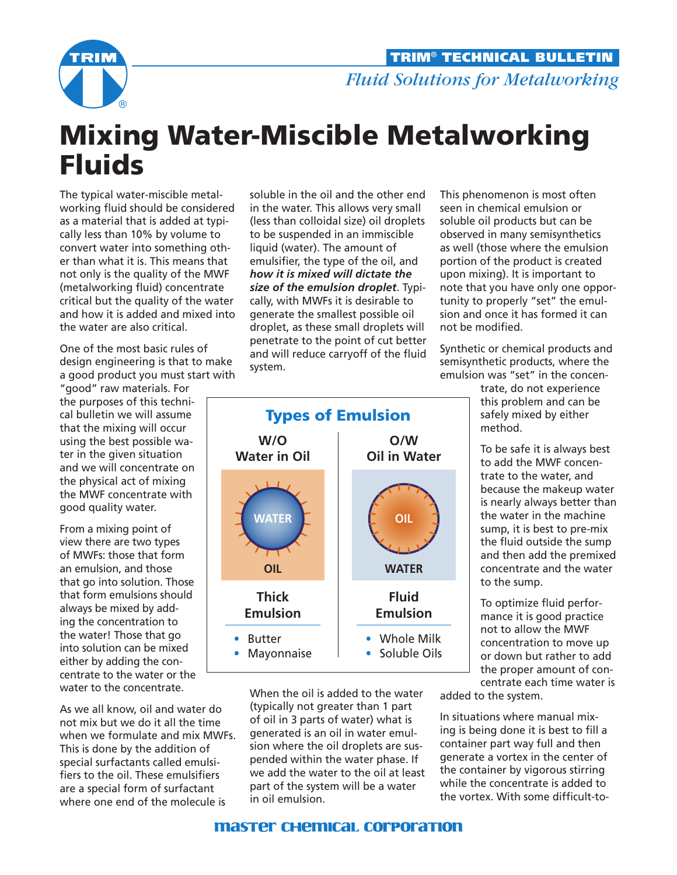

## Mixing Water-Miscible Metalworking Fluids

The typical water-miscible metalworking fluid should be considered as a material that is added at typically less than 10% by volume to convert water into something other than what it is. This means that not only is the quality of the MWF (metalworking fluid) concentrate critical but the quality of the water and how it is added and mixed into the water are also critical.

One of the most basic rules of design engineering is that to make a good product you must start with

"good" raw materials. For the purposes of this technical bulletin we will assume that the mixing will occur using the best possible water in the given situation and we will concentrate on the physical act of mixing the MWF concentrate with good quality water.

From a mixing point of view there are two types of MWFs: those that form an emulsion, and those that go into solution. Those that form emulsions should always be mixed by adding the concentration to the water! Those that go into solution can be mixed either by adding the concentrate to the water or the water to the concentrate.

As we all know, oil and water do not mix but we do it all the time when we formulate and mix MWFs. This is done by the addition of special surfactants called emulsifiers to the oil. These emulsifiers are a special form of surfactant where one end of the molecule is

soluble in the oil and the other end in the water. This allows very small (less than colloidal size) oil droplets to be suspended in an immiscible liquid (water). The amount of emulsifier, the type of the oil, and *how it is mixed will dictate the size of the emulsion droplet*. Typically, with MWFs it is desirable to generate the smallest possible oil droplet, as these small droplets will penetrate to the point of cut better and will reduce carryoff of the fluid system.



When the oil is added to the water (typically not greater than 1 part of oil in 3 parts of water) what is generated is an oil in water emulsion where the oil droplets are suspended within the water phase. If we add the water to the oil at least part of the system will be a water in oil emulsion.

seen in chemical emulsion or soluble oil products but can be observed in many semisynthetics as well (those where the emulsion portion of the product is created upon mixing). It is important to note that you have only one opportunity to properly "set" the emulsion and once it has formed it can not be modified. Synthetic or chemical products and

This phenomenon is most often

semisynthetic products, where the emulsion was "set" in the concen-

> trate, do not experience this problem and can be safely mixed by either method.

To be safe it is always best to add the MWF concentrate to the water, and because the makeup water is nearly always better than the water in the machine sump, it is best to pre-mix the fluid outside the sump and then add the premixed concentrate and the water to the sump.

To optimize fluid performance it is good practice not to allow the MWF concentration to move up or down but rather to add the proper amount of concentrate each time water is

added to the system.

In situations where manual mixing is being done it is best to fill a container part way full and then generate a vortex in the center of the container by vigorous stirring while the concentrate is added to the vortex. With some difficult-to-